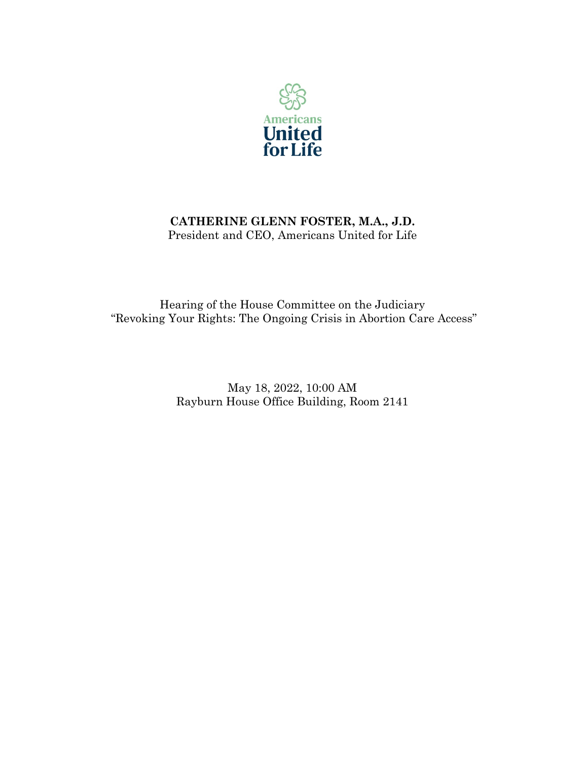

# **CATHERINE GLENN FOSTER, M.A., J.D.** President and CEO, Americans United for Life

Hearing of the House Committee on the Judiciary "Revoking Your Rights: The Ongoing Crisis in Abortion Care Access"

> May 18, 2022, 10:00 AM Rayburn House Office Building, Room 2141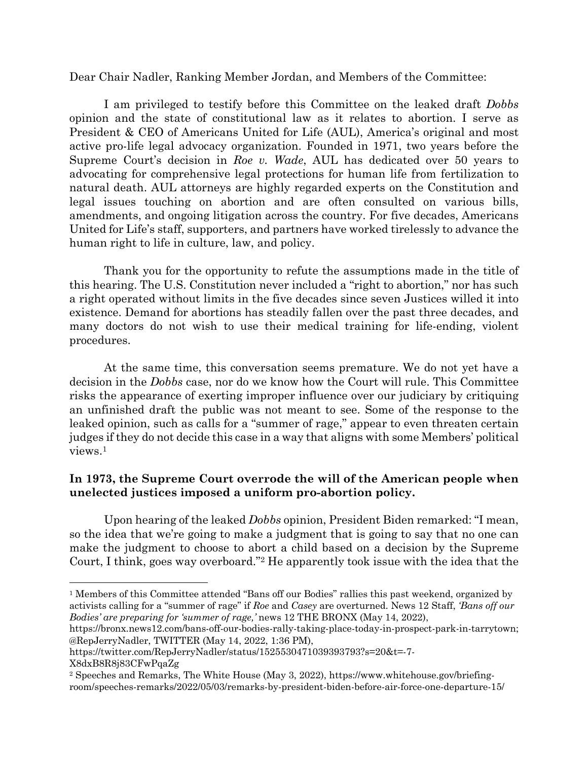Dear Chair Nadler, Ranking Member Jordan, and Members of the Committee:

I am privileged to testify before this Committee on the leaked draft *Dobbs* opinion and the state of constitutional law as it relates to abortion. I serve as President & CEO of Americans United for Life (AUL), America's original and most active pro-life legal advocacy organization. Founded in 1971, two years before the Supreme Court's decision in *Roe v. Wade*, AUL has dedicated over 50 years to advocating for comprehensive legal protections for human life from fertilization to natural death. AUL attorneys are highly regarded experts on the Constitution and legal issues touching on abortion and are often consulted on various bills, amendments, and ongoing litigation across the country. For five decades, Americans United for Life's staff, supporters, and partners have worked tirelessly to advance the human right to life in culture, law, and policy.

Thank you for the opportunity to refute the assumptions made in the title of this hearing. The U.S. Constitution never included a "right to abortion," nor has such a right operated without limits in the five decades since seven Justices willed it into existence. Demand for abortions has steadily fallen over the past three decades, and many doctors do not wish to use their medical training for life-ending, violent procedures.

At the same time, this conversation seems premature. We do not yet have a decision in the *Dobbs* case, nor do we know how the Court will rule. This Committee risks the appearance of exerting improper influence over our judiciary by critiquing an unfinished draft the public was not meant to see. Some of the response to the leaked opinion, such as calls for a "summer of rage," appear to even threaten certain judges if they do not decide this case in a way that aligns with some Members' political views.1

# **In 1973, the Supreme Court overrode the will of the American people when unelected justices imposed a uniform pro-abortion policy.**

Upon hearing of the leaked *Dobbs* opinion, President Biden remarked: "I mean, so the idea that we're going to make a judgment that is going to say that no one can make the judgment to choose to abort a child based on a decision by the Supreme Court, I think, goes way overboard."2 He apparently took issue with the idea that the

<sup>1</sup> Members of this Committee attended "Bans off our Bodies" rallies this past weekend, organized by activists calling for a "summer of rage" if *Roe* and *Casey* are overturned. News 12 Staff, *'Bans off our Bodies' are preparing for 'summer of rage,'* news 12 THE BRONX (May 14, 2022),

https://bronx.news12.com/bans-off-our-bodies-rally-taking-place-today-in-prospect-park-in-tarrytown; @RepJerryNadler, TWITTER (May 14, 2022, 1:36 PM),

https://twitter.com/RepJerryNadler/status/1525530471039393793?s=20&t=-7- X8dxB8R8j83CFwPqaZg

<sup>2</sup> Speeches and Remarks, The White House (May 3, 2022), https://www.whitehouse.gov/briefingroom/speeches-remarks/2022/05/03/remarks-by-president-biden-before-air-force-one-departure-15/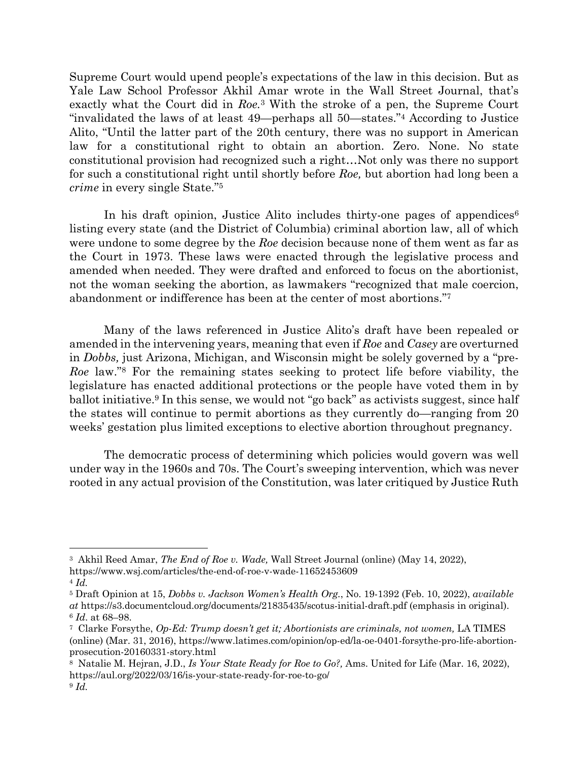Supreme Court would upend people's expectations of the law in this decision. But as Yale Law School Professor Akhil Amar wrote in the Wall Street Journal, that's exactly what the Court did in *Roe.*<sup>3</sup> With the stroke of a pen, the Supreme Court "invalidated the laws of at least 49—perhaps all 50—states."4 According to Justice Alito, "Until the latter part of the 20th century, there was no support in American law for a constitutional right to obtain an abortion. Zero. None. No state constitutional provision had recognized such a right…Not only was there no support for such a constitutional right until shortly before *Roe,* but abortion had long been a *crime* in every single State."5

In his draft opinion, Justice Alito includes thirty-one pages of appendices<sup>6</sup> listing every state (and the District of Columbia) criminal abortion law, all of which were undone to some degree by the *Roe* decision because none of them went as far as the Court in 1973. These laws were enacted through the legislative process and amended when needed. They were drafted and enforced to focus on the abortionist, not the woman seeking the abortion, as lawmakers "recognized that male coercion, abandonment or indifference has been at the center of most abortions."7

Many of the laws referenced in Justice Alito's draft have been repealed or amended in the intervening years, meaning that even if *Roe* and *Casey* are overturned in *Dobbs,* just Arizona, Michigan, and Wisconsin might be solely governed by a "pre-*Roe* law."8 For the remaining states seeking to protect life before viability, the legislature has enacted additional protections or the people have voted them in by ballot initiative.9 In this sense, we would not "go back" as activists suggest, since half the states will continue to permit abortions as they currently do—ranging from 20 weeks' gestation plus limited exceptions to elective abortion throughout pregnancy.

The democratic process of determining which policies would govern was well under way in the 1960s and 70s. The Court's sweeping intervention, which was never rooted in any actual provision of the Constitution, was later critiqued by Justice Ruth

<sup>3</sup> Akhil Reed Amar, *The End of Roe v. Wade,* Wall Street Journal (online) (May 14, 2022),

https://www.wsj.com/articles/the-end-of-roe-v-wade-11652453609

<sup>4</sup> *Id.*

<sup>5</sup> Draft Opinion at 15, *Dobbs v. Jackson Women's Health Org.*, No. 19-1392 (Feb. 10, 2022), *available at* https://s3.documentcloud.org/documents/21835435/scotus-initial-draft.pdf (emphasis in original). <sup>6</sup> *Id*. at 68–98.

<sup>7</sup> Clarke Forsythe, *Op-Ed: Trump doesn't get it; Abortionists are criminals, not women,* LA TIMES (online) (Mar. 31, 2016), https://www.latimes.com/opinion/op-ed/la-oe-0401-forsythe-pro-life-abortionprosecution-20160331-story.html

<sup>8</sup> Natalie M. Hejran, J.D., *Is Your State Ready for Roe to Go?,* Ams. United for Life (Mar. 16, 2022), https://aul.org/2022/03/16/is-your-state-ready-for-roe-to-go/ <sup>9</sup> *Id.*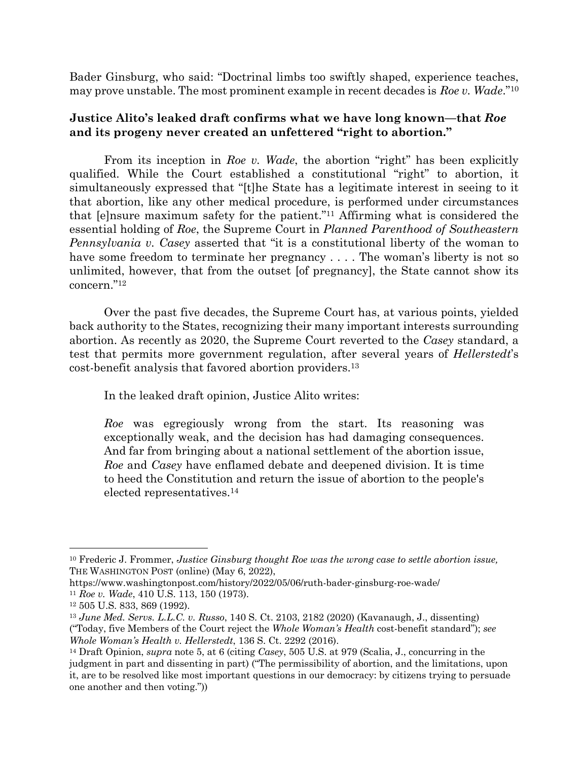Bader Ginsburg, who said: "Doctrinal limbs too swiftly shaped, experience teaches, may prove unstable. The most prominent example in recent decades is *Roe v. Wade*."10

#### **Justice Alito's leaked draft confirms what we have long known—that** *Roe* **and its progeny never created an unfettered "right to abortion."**

From its inception in *Roe v. Wade*, the abortion "right" has been explicitly qualified. While the Court established a constitutional "right" to abortion, it simultaneously expressed that "[t]he State has a legitimate interest in seeing to it that abortion, like any other medical procedure, is performed under circumstances that [e]nsure maximum safety for the patient."11 Affirming what is considered the essential holding of *Roe*, the Supreme Court in *Planned Parenthood of Southeastern Pennsylvania v. Casey* asserted that "it is a constitutional liberty of the woman to have some freedom to terminate her pregnancy .... The woman's liberty is not so unlimited, however, that from the outset [of pregnancy], the State cannot show its concern."12

Over the past five decades, the Supreme Court has, at various points, yielded back authority to the States, recognizing their many important interests surrounding abortion. As recently as 2020, the Supreme Court reverted to the *Casey* standard, a test that permits more government regulation, after several years of *Hellerstedt*'s cost-benefit analysis that favored abortion providers.13

In the leaked draft opinion, Justice Alito writes:

*Roe* was egregiously wrong from the start. Its reasoning was exceptionally weak, and the decision has had damaging consequences. And far from bringing about a national settlement of the abortion issue, *Roe* and *Casey* have enflamed debate and deepened division. It is time to heed the Constitution and return the issue of abortion to the people's elected representatives.14

<sup>10</sup> Frederic J. Frommer, *Justice Ginsburg thought Roe was the wrong case to settle abortion issue,* THE WASHINGTON POST (online) (May 6, 2022),

https://www.washingtonpost.com/history/2022/05/06/ruth-bader-ginsburg-roe-wade/ <sup>11</sup> *Roe v. Wade*, 410 U.S. 113, 150 (1973).

<sup>12</sup> 505 U.S. 833, 869 (1992).

<sup>13</sup> *June Med. Servs. L.L.C. v. Russo*, 140 S. Ct. 2103, 2182 (2020) (Kavanaugh, J., dissenting) ("Today, five Members of the Court reject the *Whole Woman's Health* cost-benefit standard"); *see Whole Woman's Health v. Hellerstedt*, 136 S. Ct. 2292 (2016).

<sup>14</sup> Draft Opinion, *supra* note 5, at 6 (citing *Casey*, 505 U.S. at 979 (Scalia, J., concurring in the judgment in part and dissenting in part) ("The permissibility of abortion, and the limitations, upon it, are to be resolved like most important questions in our democracy: by citizens trying to persuade one another and then voting."))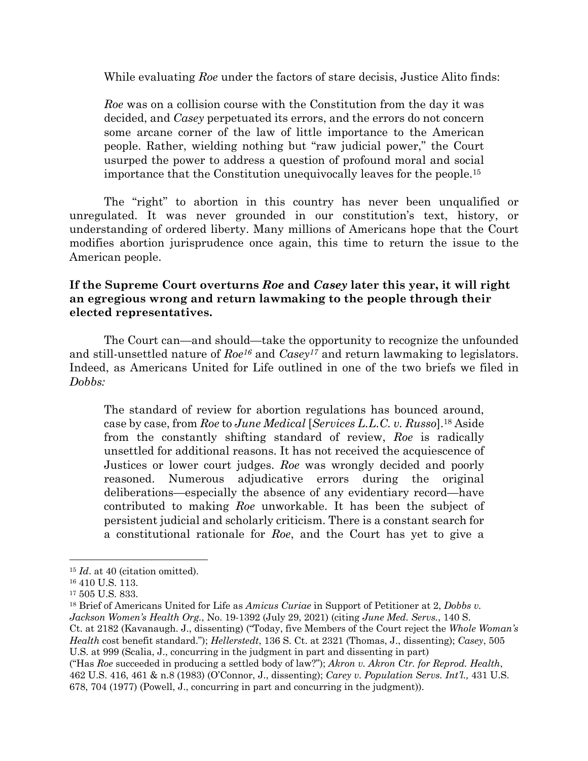While evaluating *Roe* under the factors of stare decisis, Justice Alito finds:

*Roe* was on a collision course with the Constitution from the day it was decided, and *Casey* perpetuated its errors, and the errors do not concern some arcane corner of the law of little importance to the American people. Rather, wielding nothing but "raw judicial power," the Court usurped the power to address a question of profound moral and social importance that the Constitution unequivocally leaves for the people.15

The "right" to abortion in this country has never been unqualified or unregulated. It was never grounded in our constitution's text, history, or understanding of ordered liberty. Many millions of Americans hope that the Court modifies abortion jurisprudence once again, this time to return the issue to the American people.

## **If the Supreme Court overturns** *Roe* **and** *Casey* **later this year, it will right an egregious wrong and return lawmaking to the people through their elected representatives.**

The Court can—and should—take the opportunity to recognize the unfounded and still-unsettled nature of *Roe16* and *Casey17* and return lawmaking to legislators. Indeed, as Americans United for Life outlined in one of the two briefs we filed in *Dobbs:*

The standard of review for abortion regulations has bounced around, case by case, from *Roe* to *June Medical* [*Services L.L.C. v. Russo*].18 Aside from the constantly shifting standard of review, *Roe* is radically unsettled for additional reasons. It has not received the acquiescence of Justices or lower court judges. *Roe* was wrongly decided and poorly reasoned. Numerous adjudicative errors during the original deliberations—especially the absence of any evidentiary record—have contributed to making *Roe* unworkable. It has been the subject of persistent judicial and scholarly criticism. There is a constant search for a constitutional rationale for *Roe*, and the Court has yet to give a

<sup>15</sup> *Id*. at 40 (citation omitted).

<sup>16</sup> 410 U.S. 113.

<sup>17</sup> 505 U.S. 833.

<sup>18</sup> Brief of Americans United for Life as *Amicus Curiae* in Support of Petitioner at 2, *Dobbs v. Jackson Women's Health Org.*, No. 19-1392 (July 29, 2021) (citing *June Med. Servs.*, 140 S.

Ct. at 2182 (Kavanaugh. J., dissenting) ("Today, five Members of the Court reject the *Whole Woman's Health* cost benefit standard."); *Hellerstedt*, 136 S. Ct. at 2321 (Thomas, J., dissenting); *Casey*, 505 U.S. at 999 (Scalia, J., concurring in the judgment in part and dissenting in part)

<sup>(&</sup>quot;Has *Roe* succeeded in producing a settled body of law?"); *Akron v. Akron Ctr. for Reprod. Health*, 462 U.S. 416, 461 & n.8 (1983) (O'Connor, J., dissenting); *Carey v. Population Servs. Int'l.,* 431 U.S. 678, 704 (1977) (Powell, J., concurring in part and concurring in the judgment)).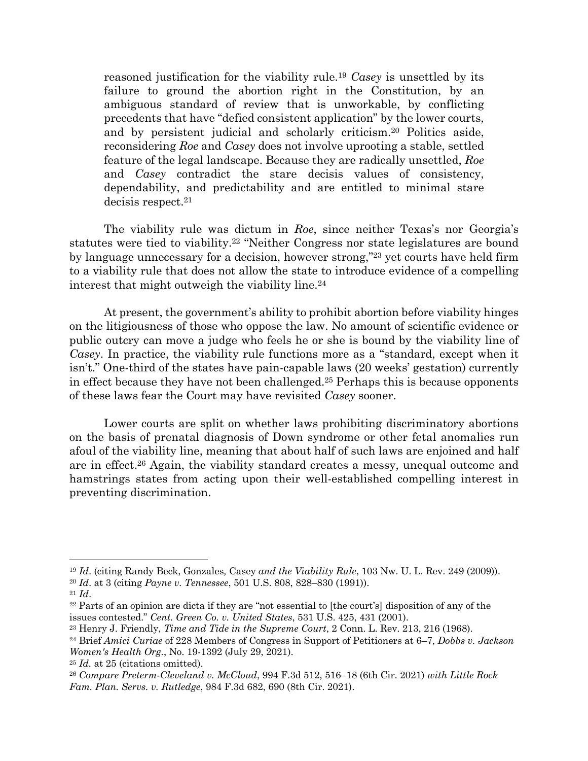reasoned justification for the viability rule.19 *Casey* is unsettled by its failure to ground the abortion right in the Constitution, by an ambiguous standard of review that is unworkable, by conflicting precedents that have "defied consistent application" by the lower courts, and by persistent judicial and scholarly criticism.20 Politics aside, reconsidering *Roe* and *Casey* does not involve uprooting a stable, settled feature of the legal landscape. Because they are radically unsettled, *Roe* and *Casey* contradict the stare decisis values of consistency, dependability, and predictability and are entitled to minimal stare decisis respect.21

The viability rule was dictum in *Roe*, since neither Texas's nor Georgia's statutes were tied to viability.22 "Neither Congress nor state legislatures are bound by language unnecessary for a decision, however strong,"23 yet courts have held firm to a viability rule that does not allow the state to introduce evidence of a compelling interest that might outweigh the viability line.24

At present, the government's ability to prohibit abortion before viability hinges on the litigiousness of those who oppose the law. No amount of scientific evidence or public outcry can move a judge who feels he or she is bound by the viability line of *Casey*. In practice, the viability rule functions more as a "standard, except when it isn't." One-third of the states have pain-capable laws (20 weeks' gestation) currently in effect because they have not been challenged.25 Perhaps this is because opponents of these laws fear the Court may have revisited *Casey* sooner.

Lower courts are split on whether laws prohibiting discriminatory abortions on the basis of prenatal diagnosis of Down syndrome or other fetal anomalies run afoul of the viability line, meaning that about half of such laws are enjoined and half are in effect.26 Again, the viability standard creates a messy, unequal outcome and hamstrings states from acting upon their well-established compelling interest in preventing discrimination.

<sup>19</sup> *Id*. (citing Randy Beck, Gonzales*,* Casey *and the Viability Rule*, 103 Nw. U. L. Rev. 249 (2009)).

<sup>20</sup> *Id*. at 3 (citing *Payne v. Tennessee*, 501 U.S. 808, 828–830 (1991)).

<sup>21</sup> *Id*.

<sup>22</sup> Parts of an opinion are dicta if they are "not essential to [the court's] disposition of any of the issues contested." *Cent. Green Co. v. United States*, 531 U.S. 425, 431 (2001).

<sup>23</sup> Henry J. Friendly, *Time and Tide in the Supreme Court*, 2 Conn. L. Rev. 213, 216 (1968).

<sup>24</sup> Brief *Amici Curiae* of 228 Members of Congress in Support of Petitioners at 6–7, *Dobbs v. Jackson Women's Health Org.*, No. 19-1392 (July 29, 2021).

<sup>25</sup> *Id.* at 25 (citations omitted).

<sup>26</sup> *Compare Preterm-Cleveland v. McCloud*, 994 F.3d 512, 516–18 (6th Cir. 2021) *with Little Rock Fam. Plan. Servs. v. Rutledge*, 984 F.3d 682, 690 (8th Cir. 2021).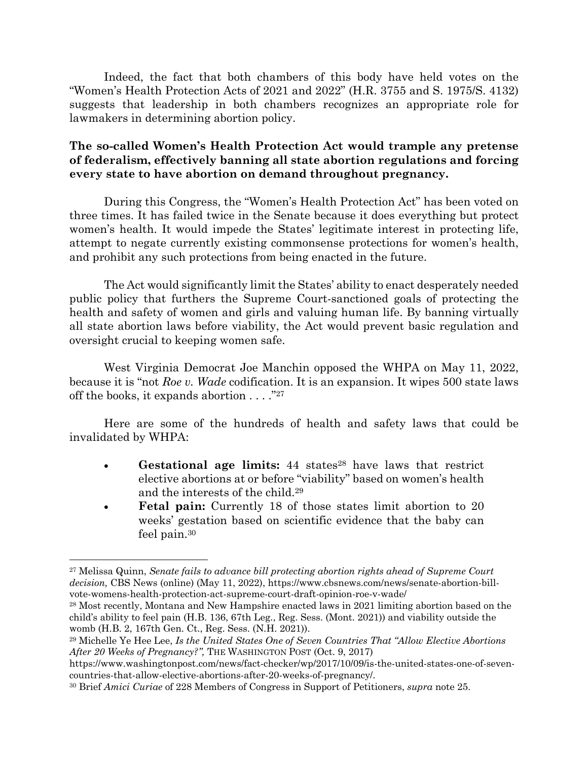Indeed, the fact that both chambers of this body have held votes on the "Women's Health Protection Acts of 2021 and 2022" (H.R. 3755 and S. 1975/S. 4132) suggests that leadership in both chambers recognizes an appropriate role for lawmakers in determining abortion policy.

# **The so-called Women's Health Protection Act would trample any pretense of federalism, effectively banning all state abortion regulations and forcing every state to have abortion on demand throughout pregnancy.**

During this Congress, the "Women's Health Protection Act" has been voted on three times. It has failed twice in the Senate because it does everything but protect women's health. It would impede the States' legitimate interest in protecting life, attempt to negate currently existing commonsense protections for women's health, and prohibit any such protections from being enacted in the future.

The Act would significantly limit the States' ability to enact desperately needed public policy that furthers the Supreme Court-sanctioned goals of protecting the health and safety of women and girls and valuing human life. By banning virtually all state abortion laws before viability, the Act would prevent basic regulation and oversight crucial to keeping women safe.

West Virginia Democrat Joe Manchin opposed the WHPA on May 11, 2022, because it is "not *Roe v. Wade* codification. It is an expansion. It wipes 500 state laws off the books, it expands abortion . . . ."27

Here are some of the hundreds of health and safety laws that could be invalidated by WHPA:

- Gestational age limits: 44 states<sup>28</sup> have laws that restrict elective abortions at or before "viability" based on women's health and the interests of the child.29
- **Fetal pain:** Currently 18 of those states limit abortion to 20 weeks' gestation based on scientific evidence that the baby can feel pain.30

<sup>27</sup> Melissa Quinn, *Senate fails to advance bill protecting abortion rights ahead of Supreme Court decision,* CBS News (online) (May 11, 2022), https://www.cbsnews.com/news/senate-abortion-billvote-womens-health-protection-act-supreme-court-draft-opinion-roe-v-wade/

<sup>28</sup> Most recently, Montana and New Hampshire enacted laws in 2021 limiting abortion based on the child's ability to feel pain (H.B. 136, 67th Leg., Reg. Sess. (Mont. 2021)) and viability outside the womb (H.B. 2, 167th Gen. Ct., Reg. Sess. (N.H. 2021)).

<sup>29</sup> Michelle Ye Hee Lee, *Is the United States One of Seven Countries That "Allow Elective Abortions After 20 Weeks of Pregnancy?",* THE WASHINGTON POST (Oct. 9, 2017)

https://www.washingtonpost.com/news/fact-checker/wp/2017/10/09/is-the-united-states-one-of-sevencountries-that-allow-elective-abortions-after-20-weeks-of-pregnancy/.

<sup>30</sup> Brief *Amici Curiae* of 228 Members of Congress in Support of Petitioners, *supra* note 25.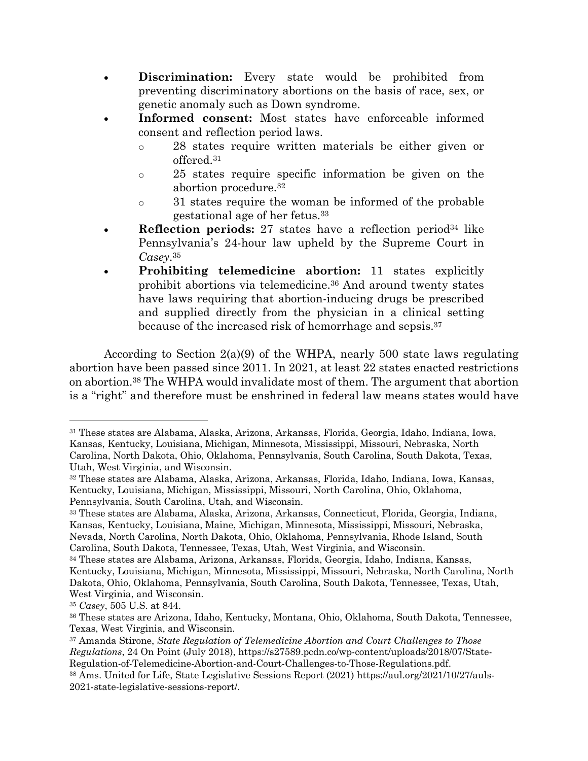- **Discrimination:** Every state would be prohibited from preventing discriminatory abortions on the basis of race, sex, or genetic anomaly such as Down syndrome.
- **Informed consent:** Most states have enforceable informed consent and reflection period laws.
	- o 28 states require written materials be either given or offered.31
	- o 25 states require specific information be given on the abortion procedure.32
	- o 31 states require the woman be informed of the probable gestational age of her fetus.33
- **Reflection periods:** 27 states have a reflection period<sup>34</sup> like Pennsylvania's 24-hour law upheld by the Supreme Court in *Casey*.35
- **Prohibiting telemedicine abortion:** 11 states explicitly prohibit abortions via telemedicine.36 And around twenty states have laws requiring that abortion-inducing drugs be prescribed and supplied directly from the physician in a clinical setting because of the increased risk of hemorrhage and sepsis.37

According to Section  $2(a)(9)$  of the WHPA, nearly 500 state laws regulating abortion have been passed since 2011. In 2021, at least 22 states enacted restrictions on abortion.38 The WHPA would invalidate most of them. The argument that abortion is a "right" and therefore must be enshrined in federal law means states would have

<sup>31</sup> These states are Alabama, Alaska, Arizona, Arkansas, Florida, Georgia, Idaho, Indiana, Iowa, Kansas, Kentucky, Louisiana, Michigan, Minnesota, Mississippi, Missouri, Nebraska, North Carolina, North Dakota, Ohio, Oklahoma, Pennsylvania, South Carolina, South Dakota, Texas, Utah, West Virginia, and Wisconsin.

<sup>32</sup> These states are Alabama, Alaska, Arizona, Arkansas, Florida, Idaho, Indiana, Iowa, Kansas, Kentucky, Louisiana, Michigan, Mississippi, Missouri, North Carolina, Ohio, Oklahoma, Pennsylvania, South Carolina, Utah, and Wisconsin.

<sup>33</sup> These states are Alabama, Alaska, Arizona, Arkansas, Connecticut, Florida, Georgia, Indiana, Kansas, Kentucky, Louisiana, Maine, Michigan, Minnesota, Mississippi, Missouri, Nebraska, Nevada, North Carolina, North Dakota, Ohio, Oklahoma, Pennsylvania, Rhode Island, South Carolina, South Dakota, Tennessee, Texas, Utah, West Virginia, and Wisconsin.

<sup>34</sup> These states are Alabama, Arizona, Arkansas, Florida, Georgia, Idaho, Indiana, Kansas, Kentucky, Louisiana, Michigan, Minnesota, Mississippi, Missouri, Nebraska, North Carolina, North Dakota, Ohio, Oklahoma, Pennsylvania, South Carolina, South Dakota, Tennessee, Texas, Utah, West Virginia, and Wisconsin.

<sup>35</sup> *Casey*, 505 U.S. at 844.

<sup>36</sup> These states are Arizona, Idaho, Kentucky, Montana, Ohio, Oklahoma, South Dakota, Tennessee, Texas, West Virginia, and Wisconsin.

<sup>37</sup> Amanda Stirone, *State Regulation of Telemedicine Abortion and Court Challenges to Those Regulations*, 24 On Point (July 2018), https://s27589.pcdn.co/wp-content/uploads/2018/07/State-Regulation-of-Telemedicine-Abortion-and-Court-Challenges-to-Those-Regulations.pdf.

<sup>38</sup> Ams. United for Life, State Legislative Sessions Report (2021) https://aul.org/2021/10/27/auls-2021-state-legislative-sessions-report/.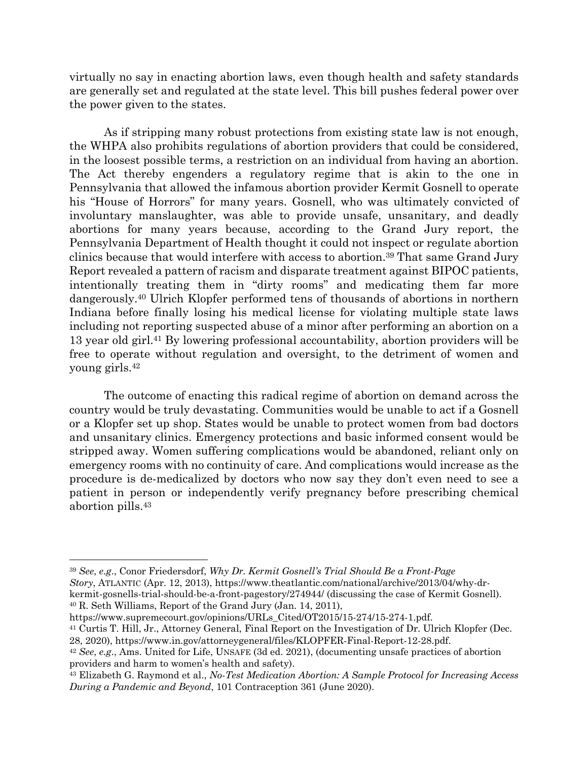virtually no say in enacting abortion laws, even though health and safety standards are generally set and regulated at the state level. This bill pushes federal power over the power given to the states.

As if stripping many robust protections from existing state law is not enough, the WHPA also prohibits regulations of abortion providers that could be considered, in the loosest possible terms, a restriction on an individual from having an abortion. The Act thereby engenders a regulatory regime that is akin to the one in Pennsylvania that allowed the infamous abortion provider Kermit Gosnell to operate his "House of Horrors" for many years. Gosnell, who was ultimately convicted of involuntary manslaughter, was able to provide unsafe, unsanitary, and deadly abortions for many years because, according to the Grand Jury report, the Pennsylvania Department of Health thought it could not inspect or regulate abortion clinics because that would interfere with access to abortion.39 That same Grand Jury Report revealed a pattern of racism and disparate treatment against BIPOC patients, intentionally treating them in "dirty rooms" and medicating them far more dangerously.40 Ulrich Klopfer performed tens of thousands of abortions in northern Indiana before finally losing his medical license for violating multiple state laws including not reporting suspected abuse of a minor after performing an abortion on a 13 year old girl.41 By lowering professional accountability, abortion providers will be free to operate without regulation and oversight, to the detriment of women and young girls.42

The outcome of enacting this radical regime of abortion on demand across the country would be truly devastating. Communities would be unable to act if a Gosnell or a Klopfer set up shop. States would be unable to protect women from bad doctors and unsanitary clinics. Emergency protections and basic informed consent would be stripped away. Women suffering complications would be abandoned, reliant only on emergency rooms with no continuity of care. And complications would increase as the procedure is de-medicalized by doctors who now say they don't even need to see a patient in person or independently verify pregnancy before prescribing chemical abortion pills.43

https://www.supremecourt.gov/opinions/URLs\_Cited/OT2015/15-274/15-274-1.pdf. <sup>41</sup> Curtis T. Hill, Jr., Attorney General, Final Report on the Investigation of Dr. Ulrich Klopfer (Dec. 28, 2020), https://www.in.gov/attorneygeneral/files/KLOPFER-Final-Report-12-28.pdf.

<sup>39</sup> *See*, *e.g*., Conor Friedersdorf, *Why Dr. Kermit Gosnell's Trial Should Be a Front-Page Story*, ATLANTIC (Apr. 12, 2013), https://www.theatlantic.com/national/archive/2013/04/why-drkermit-gosnells-trial-should-be-a-front-pagestory/274944/ (discussing the case of Kermit Gosnell). <sup>40</sup> R. Seth Williams, Report of the Grand Jury (Jan. 14, 2011),

<sup>42</sup> *See*, *e.g*., Ams. United for Life, UNSAFE (3d ed. 2021), (documenting unsafe practices of abortion providers and harm to women's health and safety).

<sup>43</sup> Elizabeth G. Raymond et al., *No-Test Medication Abortion: A Sample Protocol for Increasing Access During a Pandemic and Beyond*, 101 Contraception 361 (June 2020).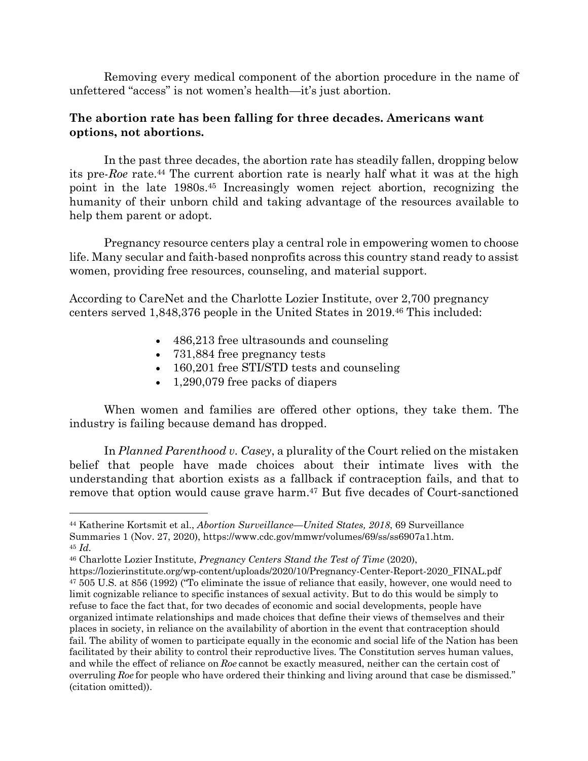Removing every medical component of the abortion procedure in the name of unfettered "access" is not women's health—it's just abortion.

#### **The abortion rate has been falling for three decades. Americans want options, not abortions.**

In the past three decades, the abortion rate has steadily fallen, dropping below its pre-*Roe* rate.44 The current abortion rate is nearly half what it was at the high point in the late 1980s.45 Increasingly women reject abortion, recognizing the humanity of their unborn child and taking advantage of the resources available to help them parent or adopt.

Pregnancy resource centers play a central role in empowering women to choose life. Many secular and faith-based nonprofits across this country stand ready to assist women, providing free resources, counseling, and material support.

According to CareNet and the Charlotte Lozier Institute, over 2,700 pregnancy centers served 1,848,376 people in the United States in 2019.46 This included:

- 486,213 free ultrasounds and counseling
- 731,884 free pregnancy tests
- 160,201 free STI/STD tests and counseling
- 1,290,079 free packs of diapers

When women and families are offered other options, they take them. The industry is failing because demand has dropped.

In *Planned Parenthood v. Casey*, a plurality of the Court relied on the mistaken belief that people have made choices about their intimate lives with the understanding that abortion exists as a fallback if contraception fails, and that to remove that option would cause grave harm.47 But five decades of Court-sanctioned

<sup>44</sup> Katherine Kortsmit et al., *Abortion Surveillance—United States, 2018*, 69 Surveillance Summaries 1 (Nov. 27, 2020), https://www.cdc.gov/mmwr/volumes/69/ss/ss6907a1.htm. <sup>45</sup> *Id.*

<sup>46</sup> Charlotte Lozier Institute, *Pregnancy Centers Stand the Test of Time* (2020),

https://lozierinstitute.org/wp-content/uploads/2020/10/Pregnancy-Center-Report-2020\_FINAL.pdf <sup>47</sup> 505 U.S. at 856 (1992) ("To eliminate the issue of reliance that easily, however, one would need to limit cognizable reliance to specific instances of sexual activity. But to do this would be simply to refuse to face the fact that, for two decades of economic and social developments, people have organized intimate relationships and made choices that define their views of themselves and their places in society, in reliance on the availability of abortion in the event that contraception should fail. The ability of women to participate equally in the economic and social life of the Nation has been facilitated by their ability to control their reproductive lives. The Constitution serves human values, and while the effect of reliance on *Roe* cannot be exactly measured, neither can the certain cost of overruling *Roe* for people who have ordered their thinking and living around that case be dismissed." (citation omitted)).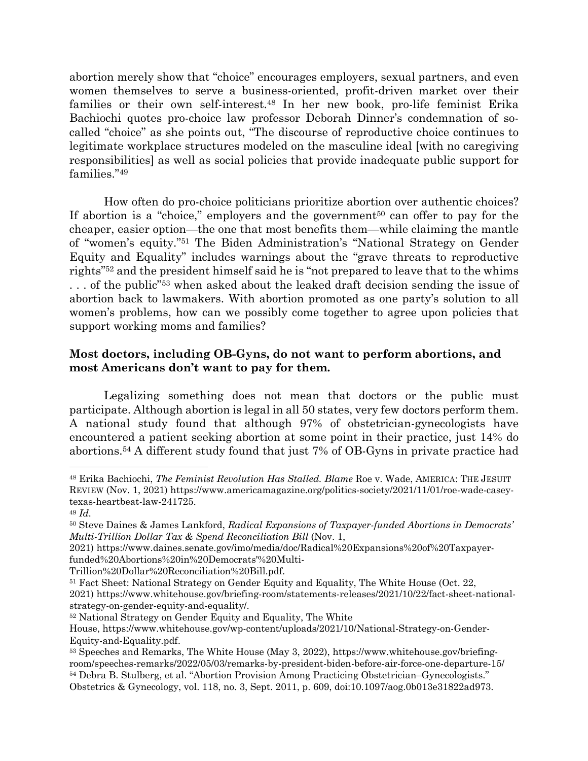abortion merely show that "choice" encourages employers, sexual partners, and even women themselves to serve a business-oriented, profit-driven market over their families or their own self-interest.48 In her new book, pro-life feminist Erika Bachiochi quotes pro-choice law professor Deborah Dinner's condemnation of socalled "choice" as she points out, "The discourse of reproductive choice continues to legitimate workplace structures modeled on the masculine ideal [with no caregiving responsibilities] as well as social policies that provide inadequate public support for families."49

How often do pro-choice politicians prioritize abortion over authentic choices? If abortion is a "choice," employers and the government<sup>50</sup> can offer to pay for the cheaper, easier option—the one that most benefits them—while claiming the mantle of "women's equity."51 The Biden Administration's "National Strategy on Gender Equity and Equality" includes warnings about the "grave threats to reproductive rights"52 and the president himself said he is "not prepared to leave that to the whims ... of the public<sup>"53</sup> when asked about the leaked draft decision sending the issue of abortion back to lawmakers. With abortion promoted as one party's solution to all women's problems, how can we possibly come together to agree upon policies that support working moms and families?

## **Most doctors, including OB-Gyns, do not want to perform abortions, and most Americans don't want to pay for them.**

Legalizing something does not mean that doctors or the public must participate. Although abortion is legal in all 50 states, very few doctors perform them. A national study found that although 97% of obstetrician-gynecologists have encountered a patient seeking abortion at some point in their practice, just 14% do abortions.54 A different study found that just 7% of OB-Gyns in private practice had

<sup>48</sup> Erika Bachiochi, *The Feminist Revolution Has Stalled. Blame* Roe v. Wade, AMERICA: THE JESUIT REVIEW (Nov. 1, 2021) https://www.americamagazine.org/politics-society/2021/11/01/roe-wade-caseytexas-heartbeat-law-241725.

<sup>49</sup> *Id.*

<sup>50</sup> Steve Daines & James Lankford, *Radical Expansions of Taxpayer-funded Abortions in Democrats' Multi-Trillion Dollar Tax & Spend Reconciliation Bill* (Nov. 1,

<sup>2021)</sup> https://www.daines.senate.gov/imo/media/doc/Radical%20Expansions%20of%20Taxpayerfunded%20Abortions%20in%20Democrats'%20Multi-

Trillion%20Dollar%20Reconciliation%20Bill.pdf.

<sup>51</sup> Fact Sheet: National Strategy on Gender Equity and Equality, The White House (Oct. 22, 2021) https://www.whitehouse.gov/briefing-room/statements-releases/2021/10/22/fact-sheet-nationalstrategy-on-gender-equity-and-equality/.

<sup>52</sup> National Strategy on Gender Equity and Equality, The White

House, https://www.whitehouse.gov/wp-content/uploads/2021/10/National-Strategy-on-Gender-Equity-and-Equality.pdf.

<sup>53</sup> Speeches and Remarks, The White House (May 3, 2022), https://www.whitehouse.gov/briefingroom/speeches-remarks/2022/05/03/remarks-by-president-biden-before-air-force-one-departure-15/ <sup>54</sup> Debra B. Stulberg, et al. "Abortion Provision Among Practicing Obstetrician–Gynecologists." Obstetrics & Gynecology, vol. 118, no. 3, Sept. 2011, p. 609, doi:10.1097/aog.0b013e31822ad973.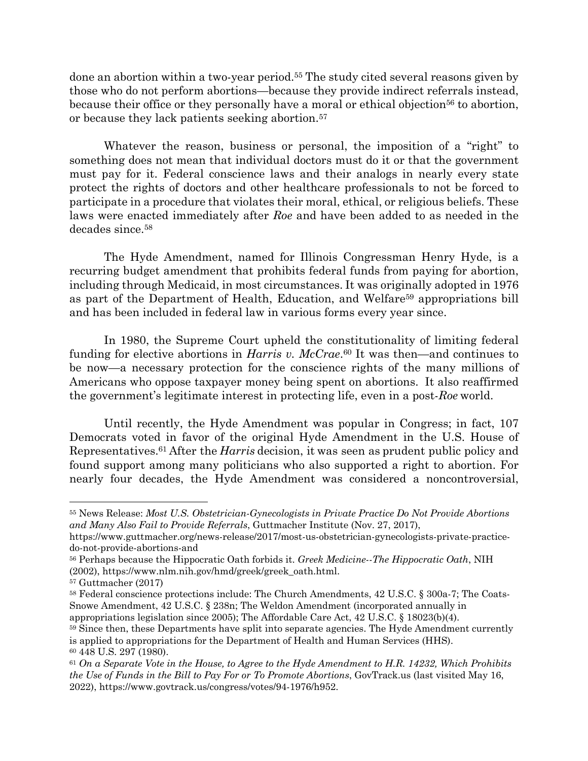done an abortion within a two-year period.55 The study cited several reasons given by those who do not perform abortions—because they provide indirect referrals instead, because their office or they personally have a moral or ethical objection<sup>56</sup> to abortion, or because they lack patients seeking abortion.57

Whatever the reason, business or personal, the imposition of a "right" to something does not mean that individual doctors must do it or that the government must pay for it. Federal conscience laws and their analogs in nearly every state protect the rights of doctors and other healthcare professionals to not be forced to participate in a procedure that violates their moral, ethical, or religious beliefs. These laws were enacted immediately after *Roe* and have been added to as needed in the decades since.58

The Hyde Amendment, named for Illinois Congressman Henry Hyde, is a recurring budget amendment that prohibits federal funds from paying for abortion, including through Medicaid, in most circumstances. It was originally adopted in 1976 as part of the Department of Health, Education, and Welfare59 appropriations bill and has been included in federal law in various forms every year since.

In 1980, the Supreme Court upheld the constitutionality of limiting federal funding for elective abortions in *Harris v. McCrae*.60 It was then—and continues to be now—a necessary protection for the conscience rights of the many millions of Americans who oppose taxpayer money being spent on abortions. It also reaffirmed the government's legitimate interest in protecting life, even in a post-*Roe* world.

Until recently, the Hyde Amendment was popular in Congress; in fact, 107 Democrats voted in favor of the original Hyde Amendment in the U.S. House of Representatives.61 After the *Harris* decision, it was seen as prudent public policy and found support among many politicians who also supported a right to abortion. For nearly four decades, the Hyde Amendment was considered a noncontroversial,

<sup>55</sup> News Release: *Most U.S. Obstetrician-Gynecologists in Private Practice Do Not Provide Abortions and Many Also Fail to Provide Referrals*, Guttmacher Institute (Nov. 27, 2017),

https://www.guttmacher.org/news-release/2017/most-us-obstetrician-gynecologists-private-practicedo-not-provide-abortions-and

<sup>56</sup> Perhaps because the Hippocratic Oath forbids it. *Greek Medicine--The Hippocratic Oath*, NIH (2002), https://www.nlm.nih.gov/hmd/greek/greek\_oath.html.

<sup>57</sup> Guttmacher (2017)

<sup>58</sup> Federal conscience protections include: The Church Amendments, 42 U.S.C. § 300a-7; The Coats-Snowe Amendment, 42 U.S.C. § 238n; The Weldon Amendment (incorporated annually in appropriations legislation since 2005); The Affordable Care Act, 42 U.S.C. § 18023(b)(4).

<sup>59</sup> Since then, these Departments have split into separate agencies. The Hyde Amendment currently is applied to appropriations for the Department of Health and Human Services (HHS). <sup>60</sup> 448 U.S. 297 (1980).

<sup>61</sup> *On a Separate Vote in the House, to Agree to the Hyde Amendment to H.R. 14232, Which Prohibits the Use of Funds in the Bill to Pay For or To Promote Abortions*, GovTrack.us (last visited May 16, 2022), https://www.govtrack.us/congress/votes/94-1976/h952.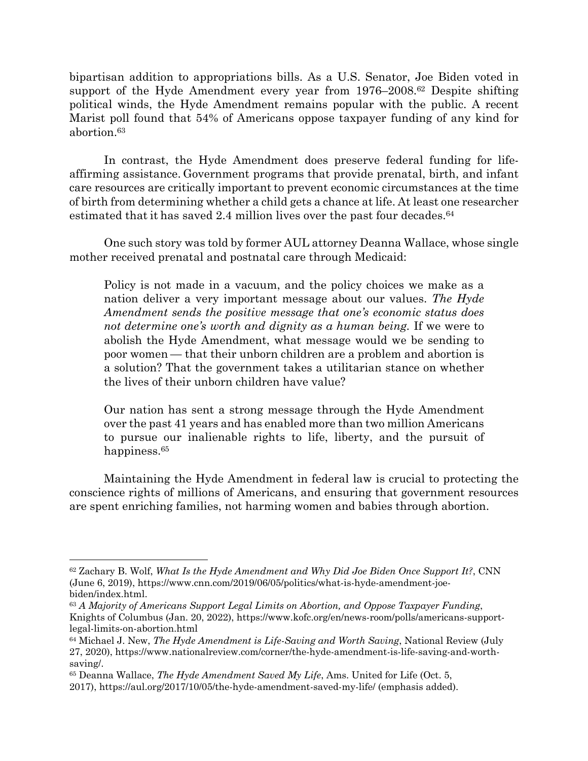bipartisan addition to appropriations bills. As a U.S. Senator, Joe Biden voted in support of the Hyde Amendment every year from 1976–2008.62 Despite shifting political winds, the Hyde Amendment remains popular with the public. A recent Marist poll found that 54% of Americans oppose taxpayer funding of any kind for abortion.63

In contrast, the Hyde Amendment does preserve federal funding for lifeaffirming assistance. Government programs that provide prenatal, birth, and infant care resources are critically important to prevent economic circumstances at the time of birth from determining whether a child gets a chance at life. At least one researcher estimated that it has saved 2.4 million lives over the past four decades.  $64$ 

One such story was told by former AUL attorney Deanna Wallace, whose single mother received prenatal and postnatal care through Medicaid:

Policy is not made in a vacuum, and the policy choices we make as a nation deliver a very important message about our values. *The Hyde Amendment sends the positive message that one's economic status does not determine one's worth and dignity as a human being.* If we were to abolish the Hyde Amendment, what message would we be sending to poor women — that their unborn children are a problem and abortion is a solution? That the government takes a utilitarian stance on whether the lives of their unborn children have value?

Our nation has sent a strong message through the Hyde Amendment over the past 41 years and has enabled more than two million Americans to pursue our inalienable rights to life, liberty, and the pursuit of happiness.<sup>65</sup>

Maintaining the Hyde Amendment in federal law is crucial to protecting the conscience rights of millions of Americans, and ensuring that government resources are spent enriching families, not harming women and babies through abortion.

<sup>62</sup> Zachary B. Wolf, *What Is the Hyde Amendment and Why Did Joe Biden Once Support It?*, CNN (June 6, 2019), https://www.cnn.com/2019/06/05/politics/what-is-hyde-amendment-joebiden/index.html.

<sup>63</sup> *A Majority of Americans Support Legal Limits on Abortion, and Oppose Taxpayer Funding*, Knights of Columbus (Jan. 20, 2022), https://www.kofc.org/en/news-room/polls/americans-supportlegal-limits-on-abortion.html

<sup>64</sup> Michael J. New, *The Hyde Amendment is Life-Saving and Worth Saving*, National Review (July 27, 2020), https://www.nationalreview.com/corner/the-hyde-amendment-is-life-saving-and-worthsaving/.

<sup>65</sup> Deanna Wallace, *The Hyde Amendment Saved My Life*, Ams. United for Life (Oct. 5,

<sup>2017),</sup> https://aul.org/2017/10/05/the-hyde-amendment-saved-my-life/ (emphasis added).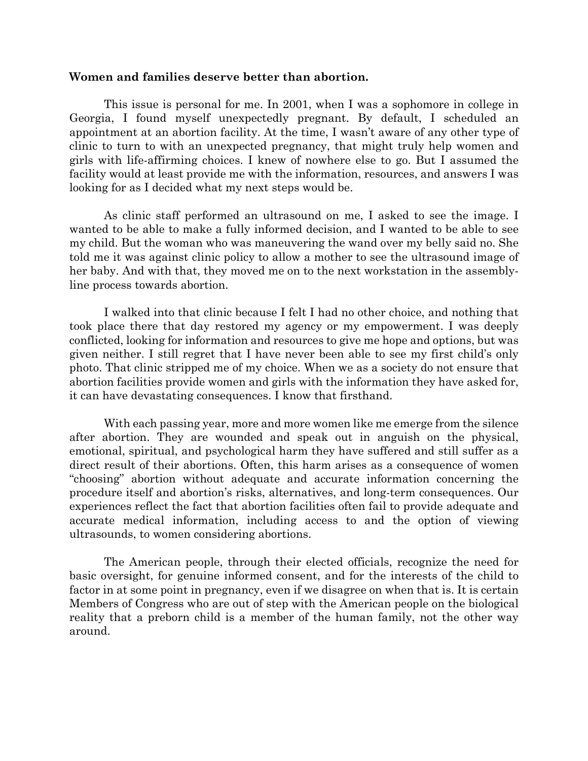#### **Women and families deserve better than abortion.**

This issue is personal for me. In 2001, when I was a sophomore in college in Georgia, I found myself unexpectedly pregnant. By default, I scheduled an appointment at an abortion facility. At the time, I wasn't aware of any other type of clinic to turn to with an unexpected pregnancy, that might truly help women and girls with life-affirming choices. I knew of nowhere else to go. But I assumed the facility would at least provide me with the information, resources, and answers I was looking for as I decided what my next steps would be.

As clinic staff performed an ultrasound on me, I asked to see the image. I wanted to be able to make a fully informed decision, and I wanted to be able to see my child. But the woman who was maneuvering the wand over my belly said no. She told me it was against clinic policy to allow a mother to see the ultrasound image of her baby. And with that, they moved me on to the next workstation in the assemblyline process towards abortion.

I walked into that clinic because I felt I had no other choice, and nothing that took place there that day restored my agency or my empowerment. I was deeply conflicted, looking for information and resources to give me hope and options, but was given neither. I still regret that I have never been able to see my first child's only photo. That clinic stripped me of my choice. When we as a society do not ensure that abortion facilities provide women and girls with the information they have asked for, it can have devastating consequences. I know that firsthand.

With each passing year, more and more women like me emerge from the silence after abortion. They are wounded and speak out in anguish on the physical, emotional, spiritual, and psychological harm they have suffered and still suffer as a direct result of their abortions. Often, this harm arises as a consequence of women "choosing" abortion without adequate and accurate information concerning the procedure itself and abortion's risks, alternatives, and long-term consequences. Our experiences reflect the fact that abortion facilities often fail to provide adequate and accurate medical information, including access to and the option of viewing ultrasounds, to women considering abortions.

The American people, through their elected officials, recognize the need for basic oversight, for genuine informed consent, and for the interests of the child to factor in at some point in pregnancy, even if we disagree on when that is. It is certain Members of Congress who are out of step with the American people on the biological reality that a preborn child is a member of the human family, not the other way around.